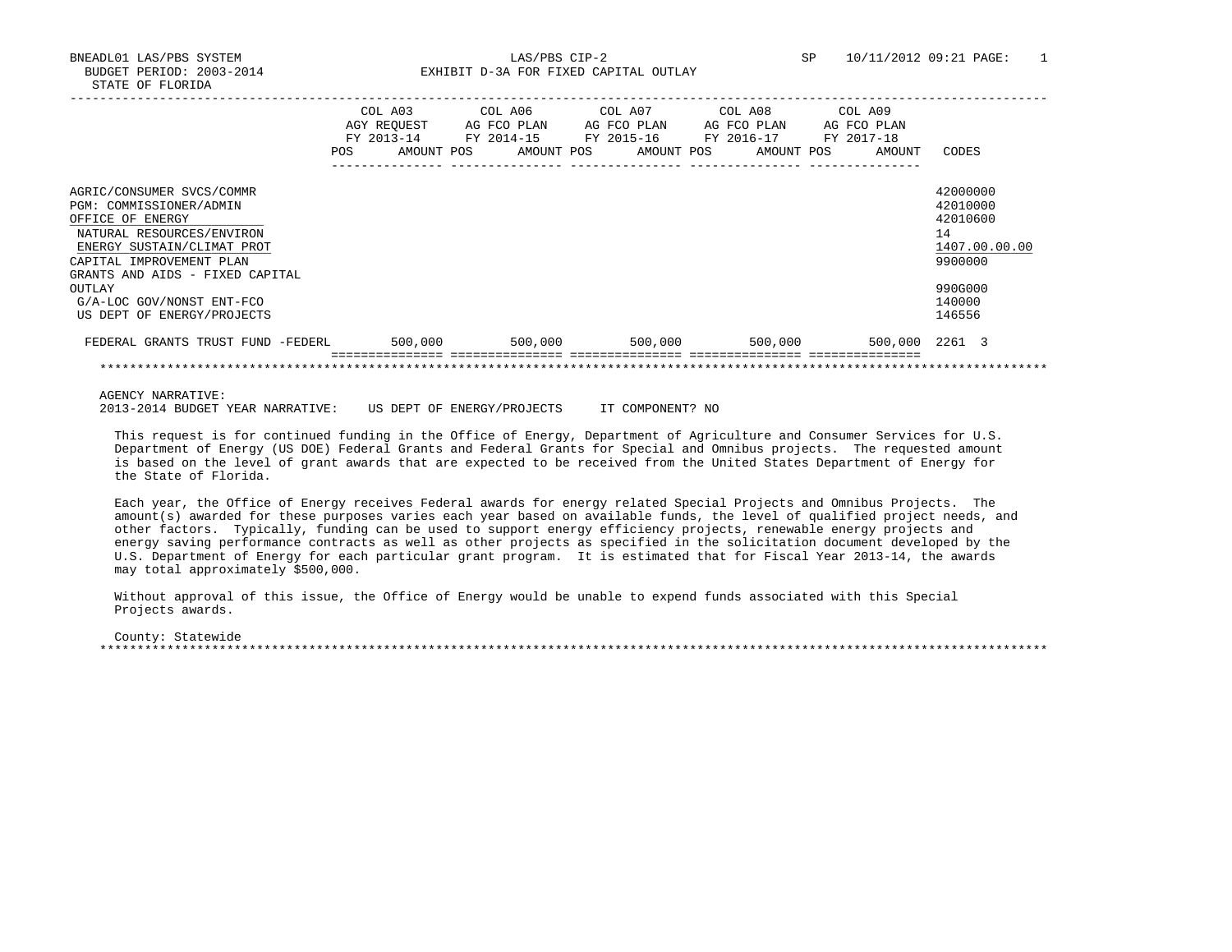BNEADL01 LAS/PBS SYSTEM LAS/PBS CIP-2 SP 10/11/2012 09:21 PAGE: 1 BUDGET PERIOD: 2003-2014 **EXHIBIT D-3A FOR FIXED CAPITAL OUTLAY** 

|                                                                                                                                                                                                    | COL A03<br>AGY REOUEST<br>FY 2013-14<br><b>POS</b> | COL A06<br>AG FCO PLAN<br>FY 2014-15<br>AMOUNT POS<br>AMOUNT POS | COL A07<br>AG FCO PLAN<br>FY 2015-16<br>AMOUNT POS | COL A08<br>AG FCO PLAN<br>FY 2016-17<br>AMOUNT POS | COL A09<br>AG FCO PLAN<br>FY 2017-18<br>AMOUNT | CODES                                                              |
|----------------------------------------------------------------------------------------------------------------------------------------------------------------------------------------------------|----------------------------------------------------|------------------------------------------------------------------|----------------------------------------------------|----------------------------------------------------|------------------------------------------------|--------------------------------------------------------------------|
| AGRIC/CONSUMER SVCS/COMMR<br>PGM: COMMISSIONER/ADMIN<br>OFFICE OF ENERGY<br>NATURAL RESOURCES/ENVIRON<br>ENERGY SUSTAIN/CLIMAT PROT<br>CAPITAL IMPROVEMENT PLAN<br>GRANTS AND AIDS - FIXED CAPITAL |                                                    |                                                                  |                                                    |                                                    |                                                | 42000000<br>42010000<br>42010600<br>14<br>1407.00.00.00<br>9900000 |
| OUTLAY<br>G/A-LOC GOV/NONST ENT-FCO<br>US DEPT OF ENERGY/PROJECTS                                                                                                                                  |                                                    |                                                                  |                                                    |                                                    |                                                | 990G000<br>140000<br>146556                                        |
| FEDERAL GRANTS TRUST FUND -FEDERL                                                                                                                                                                  | 500,000                                            | 500,000                                                          | 500,000                                            | 500,000                                            |                                                | 500,000 2261 3                                                     |
|                                                                                                                                                                                                    |                                                    |                                                                  |                                                    |                                                    |                                                |                                                                    |

AGENCY NARRATIVE:

2013-2014 BUDGET YEAR NARRATIVE: US DEPT OF ENERGY/PROJECTS IT COMPONENT? NO

 This request is for continued funding in the Office of Energy, Department of Agriculture and Consumer Services for U.S. Department of Energy (US DOE) Federal Grants and Federal Grants for Special and Omnibus projects. The requested amount is based on the level of grant awards that are expected to be received from the United States Department of Energy for the State of Florida.

 Each year, the Office of Energy receives Federal awards for energy related Special Projects and Omnibus Projects. The amount(s) awarded for these purposes varies each year based on available funds, the level of qualified project needs, and other factors. Typically, funding can be used to support energy efficiency projects, renewable energy projects and energy saving performance contracts as well as other projects as specified in the solicitation document developed by the U.S. Department of Energy for each particular grant program. It is estimated that for Fiscal Year 2013-14, the awards may total approximately \$500,000.

 Without approval of this issue, the Office of Energy would be unable to expend funds associated with this Special Projects awards.

 County: Statewide \*\*\*\*\*\*\*\*\*\*\*\*\*\*\*\*\*\*\*\*\*\*\*\*\*\*\*\*\*\*\*\*\*\*\*\*\*\*\*\*\*\*\*\*\*\*\*\*\*\*\*\*\*\*\*\*\*\*\*\*\*\*\*\*\*\*\*\*\*\*\*\*\*\*\*\*\*\*\*\*\*\*\*\*\*\*\*\*\*\*\*\*\*\*\*\*\*\*\*\*\*\*\*\*\*\*\*\*\*\*\*\*\*\*\*\*\*\*\*\*\*\*\*\*\*\*\*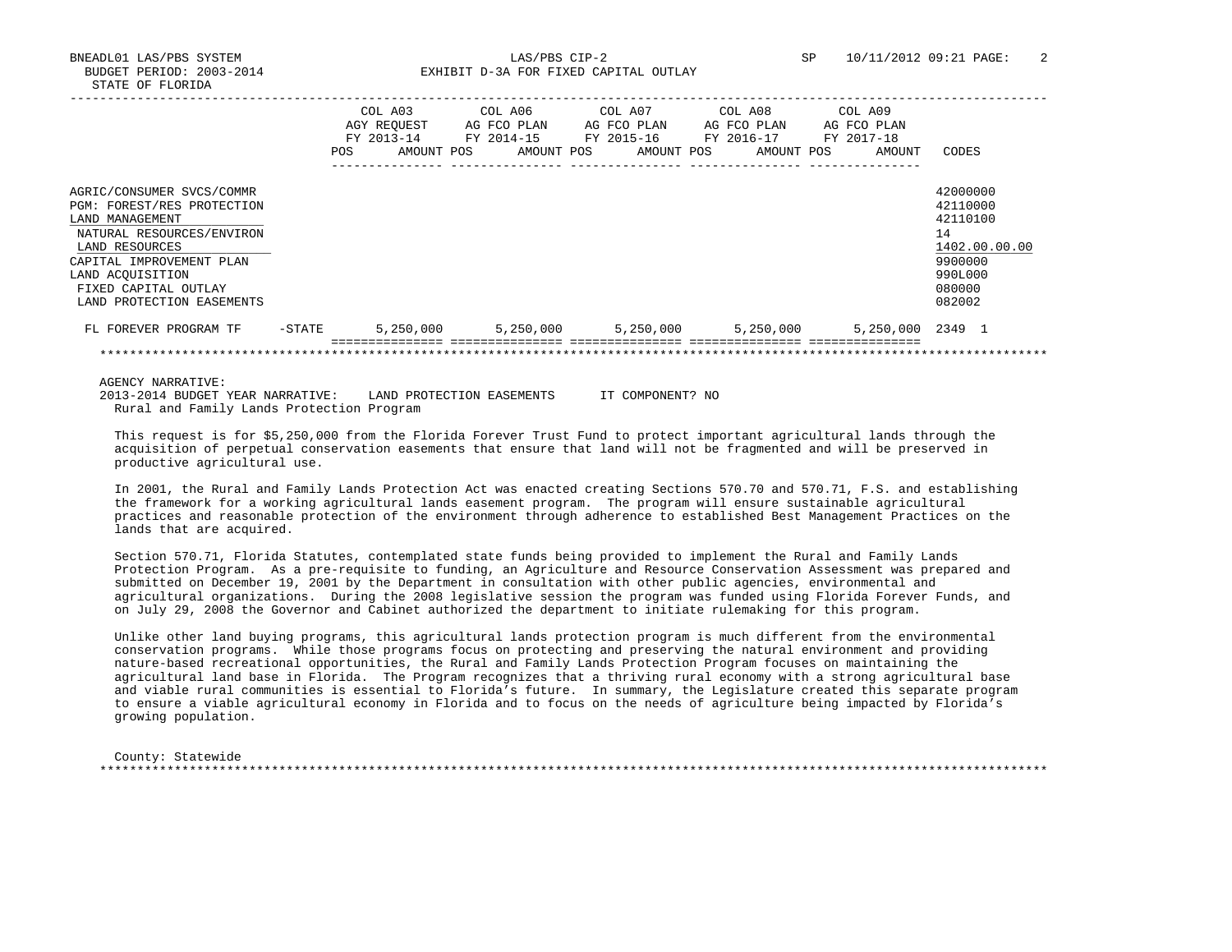BNEADL01 LAS/PBS SYSTEM LAS/PBS CIP-2 SP 10/11/2012 09:21 PAGE: 2 BUDGET PERIOD: 2003-2014 **EXHIBIT D-3A FOR FIXED CAPITAL OUTLAY** 

|                                                                                                                                                                                                                                | <b>POS</b> | COL A03<br>AGY REOUEST<br>FY 2013-14<br>AMOUNT POS | COL A06<br>AG FCO PLAN<br>FY 2014-15 | AMOUNT POS | COL A07<br>AG FCO PLAN<br>FY 2015-16<br>AMOUNT POS | COL A08<br>AG FCO PLAN<br>FY 2016-17<br>AMOUNT POS | COL A09<br>AG FCO PLAN<br>FY 2017-18<br>AMOUNT | CODES                                                                                             |
|--------------------------------------------------------------------------------------------------------------------------------------------------------------------------------------------------------------------------------|------------|----------------------------------------------------|--------------------------------------|------------|----------------------------------------------------|----------------------------------------------------|------------------------------------------------|---------------------------------------------------------------------------------------------------|
| AGRIC/CONSUMER SVCS/COMMR<br>PGM: FOREST/RES PROTECTION<br>LAND MANAGEMENT<br>NATURAL RESOURCES/ENVIRON<br>LAND RESOURCES<br>CAPITAL IMPROVEMENT PLAN<br>LAND ACQUISITION<br>FIXED CAPITAL OUTLAY<br>LAND PROTECTION EASEMENTS |            |                                                    |                                      |            |                                                    |                                                    |                                                | 42000000<br>42110000<br>42110100<br>14<br>1402.00.00.00<br>9900000<br>990L000<br>080000<br>082002 |
| FL FOREVER PROGRAM TF                                                                                                                                                                                                          | -STATE     | 5,250,000                                          | 5,250,000                            |            | 5,250,000                                          | 5,250,000                                          | 5,250,000 2349 1                               |                                                                                                   |
|                                                                                                                                                                                                                                |            |                                                    |                                      |            |                                                    |                                                    |                                                |                                                                                                   |

AGENCY NARRATIVE:

 2013-2014 BUDGET YEAR NARRATIVE: LAND PROTECTION EASEMENTS IT COMPONENT? NO Rural and Family Lands Protection Program

 This request is for \$5,250,000 from the Florida Forever Trust Fund to protect important agricultural lands through the acquisition of perpetual conservation easements that ensure that land will not be fragmented and will be preserved in productive agricultural use.

 In 2001, the Rural and Family Lands Protection Act was enacted creating Sections 570.70 and 570.71, F.S. and establishing the framework for a working agricultural lands easement program. The program will ensure sustainable agricultural practices and reasonable protection of the environment through adherence to established Best Management Practices on the lands that are acquired.

 Section 570.71, Florida Statutes, contemplated state funds being provided to implement the Rural and Family Lands Protection Program. As a pre-requisite to funding, an Agriculture and Resource Conservation Assessment was prepared and submitted on December 19, 2001 by the Department in consultation with other public agencies, environmental and agricultural organizations. During the 2008 legislative session the program was funded using Florida Forever Funds, and on July 29, 2008 the Governor and Cabinet authorized the department to initiate rulemaking for this program.

 Unlike other land buying programs, this agricultural lands protection program is much different from the environmental conservation programs. While those programs focus on protecting and preserving the natural environment and providing nature-based recreational opportunities, the Rural and Family Lands Protection Program focuses on maintaining the agricultural land base in Florida. The Program recognizes that a thriving rural economy with a strong agricultural base and viable rural communities is essential to Florida's future. In summary, the Legislature created this separate program to ensure a viable agricultural economy in Florida and to focus on the needs of agriculture being impacted by Florida's growing population.

 County: Statewide \*\*\*\*\*\*\*\*\*\*\*\*\*\*\*\*\*\*\*\*\*\*\*\*\*\*\*\*\*\*\*\*\*\*\*\*\*\*\*\*\*\*\*\*\*\*\*\*\*\*\*\*\*\*\*\*\*\*\*\*\*\*\*\*\*\*\*\*\*\*\*\*\*\*\*\*\*\*\*\*\*\*\*\*\*\*\*\*\*\*\*\*\*\*\*\*\*\*\*\*\*\*\*\*\*\*\*\*\*\*\*\*\*\*\*\*\*\*\*\*\*\*\*\*\*\*\*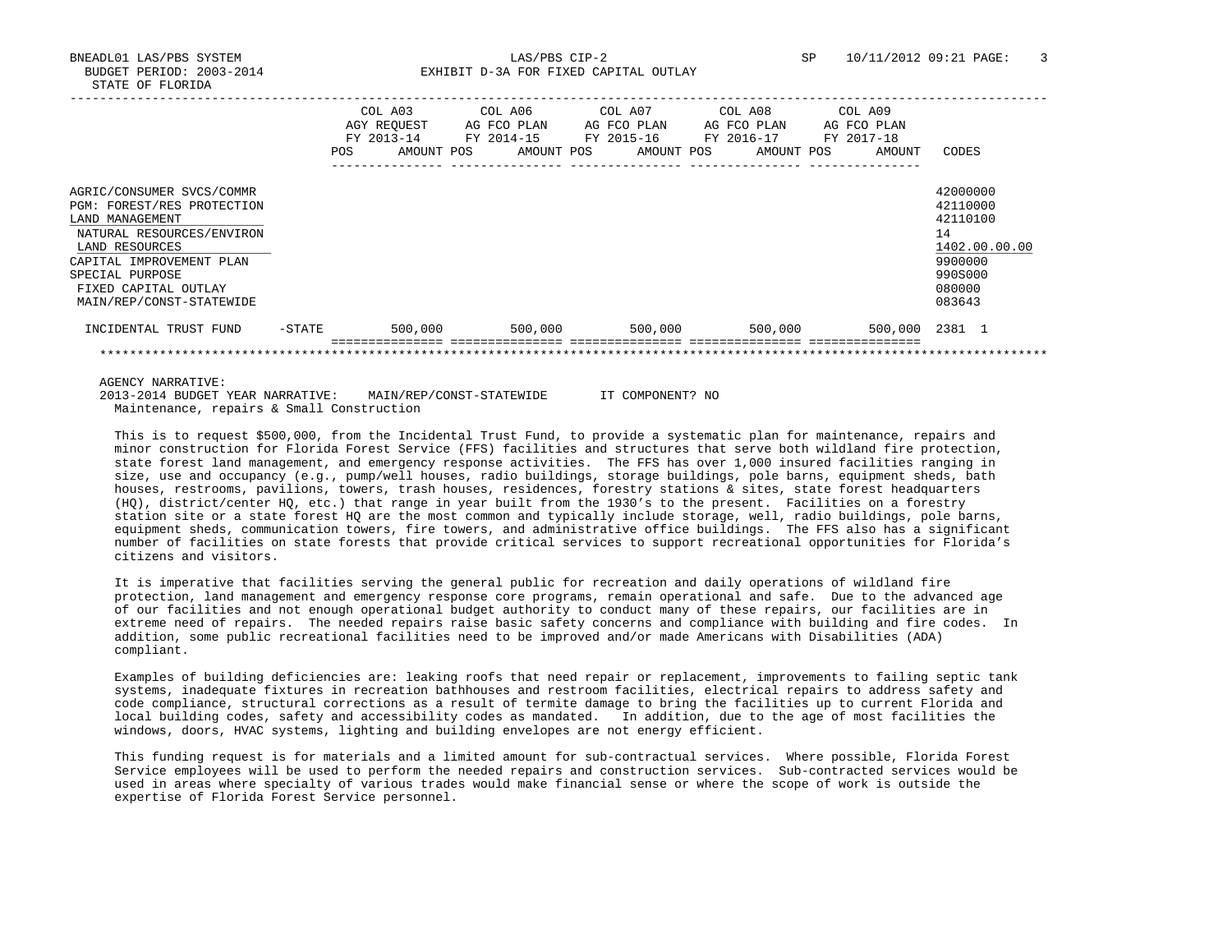BUDGET PERIOD: 2003-2014 **EXHIBIT D-3A FOR FIXED CAPITAL OUTLAY** 

|                                                                                                                           |            | COL A03<br>AGY REOUEST<br>FY 2013-14 | COL A06<br>AG FCO PLAN<br>FY 2014-15 | COL A07<br>FY 2015-16 | AG FCO PLAN | COL A08<br>FY 2016-17 | AG FCO PLAN | COL A09<br>AG FCO PLAN<br>FY 2017-18 |                                                         |
|---------------------------------------------------------------------------------------------------------------------------|------------|--------------------------------------|--------------------------------------|-----------------------|-------------|-----------------------|-------------|--------------------------------------|---------------------------------------------------------|
|                                                                                                                           | <b>POS</b> | AMOUNT POS                           | AMOUNT POS                           |                       | AMOUNT POS  |                       | AMOUNT POS  | AMOUNT                               | CODES                                                   |
| AGRIC/CONSUMER SVCS/COMMR<br>PGM: FOREST/RES PROTECTION<br>LAND MANAGEMENT<br>NATURAL RESOURCES/ENVIRON<br>LAND RESOURCES |            |                                      |                                      |                       |             |                       |             |                                      | 42000000<br>42110000<br>42110100<br>14<br>1402.00.00.00 |
| CAPITAL IMPROVEMENT PLAN<br>SPECIAL PURPOSE<br>FIXED CAPITAL OUTLAY<br>MAIN/REP/CONST-STATEWIDE                           |            |                                      |                                      |                       |             |                       |             |                                      | 9900000<br>9905000<br>080000<br>083643                  |
| INCIDENTAL TRUST FUND                                                                                                     | $-$ STATE  | 500,000                              | 500,000                              |                       | 500,000     |                       | 500,000     | 500,000                              | 2381 1                                                  |
|                                                                                                                           |            |                                      |                                      |                       |             |                       |             |                                      |                                                         |

AGENCY NARRATIVE:

 2013-2014 BUDGET YEAR NARRATIVE: MAIN/REP/CONST-STATEWIDE IT COMPONENT? NO Maintenance, repairs & Small Construction

 This is to request \$500,000, from the Incidental Trust Fund, to provide a systematic plan for maintenance, repairs and minor construction for Florida Forest Service (FFS) facilities and structures that serve both wildland fire protection, state forest land management, and emergency response activities. The FFS has over 1,000 insured facilities ranging in size, use and occupancy (e.g., pump/well houses, radio buildings, storage buildings, pole barns, equipment sheds, bath houses, restrooms, pavilions, towers, trash houses, residences, forestry stations & sites, state forest headquarters (HQ), district/center HQ, etc.) that range in year built from the 1930's to the present. Facilities on a forestry station site or a state forest HQ are the most common and typically include storage, well, radio buildings, pole barns, equipment sheds, communication towers, fire towers, and administrative office buildings. The FFS also has a significant number of facilities on state forests that provide critical services to support recreational opportunities for Florida's citizens and visitors.

 It is imperative that facilities serving the general public for recreation and daily operations of wildland fire protection, land management and emergency response core programs, remain operational and safe. Due to the advanced age of our facilities and not enough operational budget authority to conduct many of these repairs, our facilities are in extreme need of repairs. The needed repairs raise basic safety concerns and compliance with building and fire codes. In addition, some public recreational facilities need to be improved and/or made Americans with Disabilities (ADA) compliant.

 Examples of building deficiencies are: leaking roofs that need repair or replacement, improvements to failing septic tank systems, inadequate fixtures in recreation bathhouses and restroom facilities, electrical repairs to address safety and code compliance, structural corrections as a result of termite damage to bring the facilities up to current Florida and local building codes, safety and accessibility codes as mandated. In addition, due to the age of most facilities the windows, doors, HVAC systems, lighting and building envelopes are not energy efficient.

 This funding request is for materials and a limited amount for sub-contractual services. Where possible, Florida Forest Service employees will be used to perform the needed repairs and construction services. Sub-contracted services would be used in areas where specialty of various trades would make financial sense or where the scope of work is outside the expertise of Florida Forest Service personnel.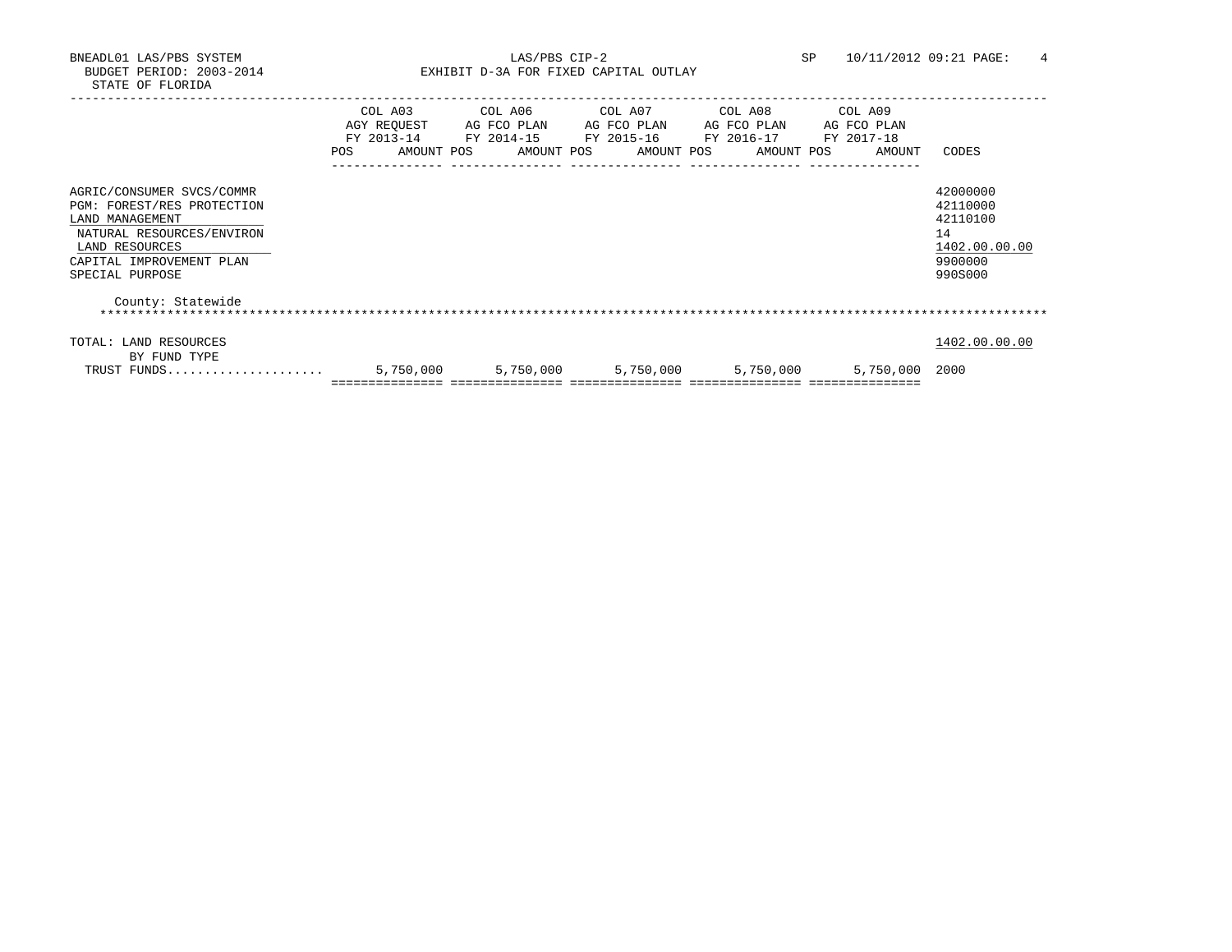BNEADL01 LAS/PBS SYSTEM LAS/PBS CIP-2 SP 10/11/2012 09:21 PAGE: 4 BUDGET PERIOD: 2003-2014 **EXHIBIT D-3A FOR FIXED CAPITAL OUTLAY** 

|                                                                                                                                                                          | COL A03<br>FY 2013-14<br><b>POS</b> | COL A06<br>AGY REOUEST AG FCO PLAN<br>FY 2014-15 FY 2015-16 FY 2016-17 FY 2017-18<br>AMOUNT POS AMOUNT POS AMOUNT POS AMOUNT POS | COL A07 COL A08 COL A09<br>AG FCO PLAN AG FCO PLAN |                     | AG FCO PLAN<br>AMOUNT | CODES                                                                         |
|--------------------------------------------------------------------------------------------------------------------------------------------------------------------------|-------------------------------------|----------------------------------------------------------------------------------------------------------------------------------|----------------------------------------------------|---------------------|-----------------------|-------------------------------------------------------------------------------|
| AGRIC/CONSUMER SVCS/COMMR<br>PGM: FOREST/RES PROTECTION<br>LAND MANAGEMENT<br>NATURAL RESOURCES/ENVIRON<br>LAND RESOURCES<br>CAPITAL IMPROVEMENT PLAN<br>SPECIAL PURPOSE |                                     |                                                                                                                                  |                                                    |                     |                       | 42000000<br>42110000<br>42110100<br>14<br>1402.00.00.00<br>9900000<br>990S000 |
| County: Statewide                                                                                                                                                        |                                     |                                                                                                                                  |                                                    |                     |                       |                                                                               |
| TOTAL: LAND RESOURCES<br>BY FUND TYPE                                                                                                                                    |                                     |                                                                                                                                  |                                                    |                     |                       | 1402.00.00.00                                                                 |
| TRUST FUNDS                                                                                                                                                              | 5,750,000                           | 5,750,000                                                                                                                        |                                                    | 5,750,000 5,750,000 | 5,750,000             | 2000                                                                          |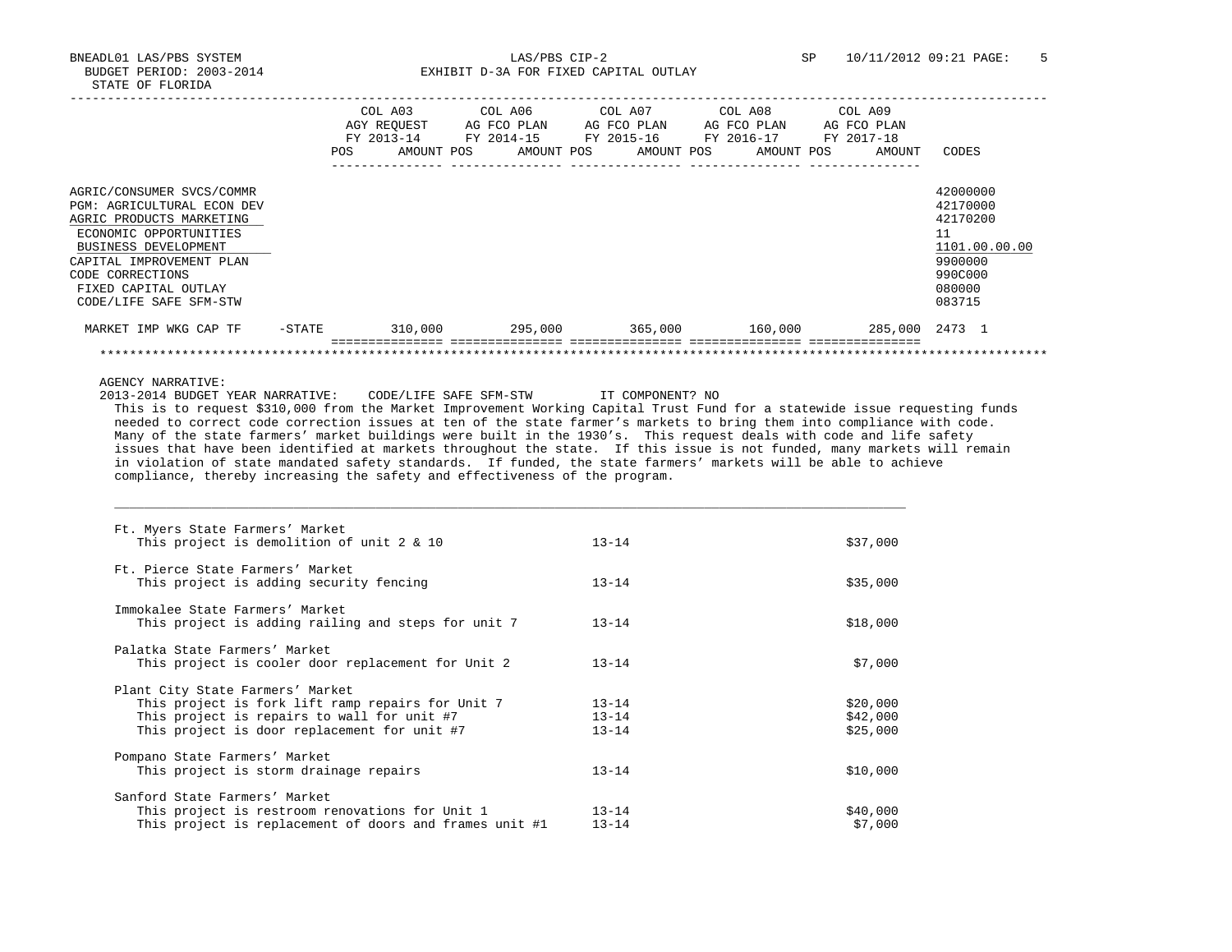BNEADL01 LAS/PBS SYSTEM LAS/PBS CIP-2 SP 10/11/2012 09:21 PAGE: 5 BUDGET PERIOD: 2003-2014 **EXHIBIT D-3A FOR FIXED CAPITAL OUTLAY** -----------------------------------------------------------------------------------------------------------------------------------

|                                                                                                                                                                                                                                         | <b>POS</b> | COL A03<br>AGY REOUEST<br>FY 2013-14<br>AMOUNT POS | COL A06<br>AG FCO PLAN<br>FY 2014-15 | AMOUNT POS | COL A07<br>AG FCO PLAN<br>FY 2015-16 | AMOUNT POS | COL A08<br>AG FCO PLAN<br>FY 2016-17 | AMOUNT POS | COL A09<br>AG FCO PLAN<br>FY 2017-18 | AMOUNT         | CODES                                                                                             |
|-----------------------------------------------------------------------------------------------------------------------------------------------------------------------------------------------------------------------------------------|------------|----------------------------------------------------|--------------------------------------|------------|--------------------------------------|------------|--------------------------------------|------------|--------------------------------------|----------------|---------------------------------------------------------------------------------------------------|
| AGRIC/CONSUMER SVCS/COMMR<br>PGM: AGRICULTURAL ECON DEV<br>AGRIC PRODUCTS MARKETING<br>ECONOMIC OPPORTUNITIES<br>BUSINESS DEVELOPMENT<br>CAPITAL IMPROVEMENT PLAN<br>CODE CORRECTIONS<br>FIXED CAPITAL OUTLAY<br>CODE/LIFE SAFE SFM-STW |            |                                                    |                                      |            |                                      |            |                                      |            |                                      |                | 42000000<br>42170000<br>42170200<br>11<br>1101.00.00.00<br>9900000<br>990C000<br>080000<br>083715 |
| MARKET IMP WKG CAP TF                                                                                                                                                                                                                   | $-$ STATE  | 310,000                                            |                                      | 295,000    |                                      | 365,000    |                                      | 160,000    |                                      | 285,000 2473 1 |                                                                                                   |

AGENCY NARRATIVE:

 2013-2014 BUDGET YEAR NARRATIVE: CODE/LIFE SAFE SFM-STW IT COMPONENT? NO This is to request \$310,000 from the Market Improvement Working Capital Trust Fund for a statewide issue requesting funds needed to correct code correction issues at ten of the state farmer's markets to bring them into compliance with code. Many of the state farmers' market buildings were built in the 1930's. This request deals with code and life safety issues that have been identified at markets throughout the state. If this issue is not funded, many markets will remain in violation of state mandated safety standards. If funded, the state farmers' markets will be able to achieve compliance, thereby increasing the safety and effectiveness of the program.

| Ft. Myers State Farmers' Market                         |           |          |
|---------------------------------------------------------|-----------|----------|
| This project is demolition of unit $2 \times 10$        | $13 - 14$ | \$37,000 |
| Ft. Pierce State Farmers' Market                        |           |          |
| This project is adding security fencing                 | $13 - 14$ | \$35,000 |
| Immokalee State Farmers' Market                         |           |          |
| This project is adding railing and steps for unit 7     | $13 - 14$ | \$18,000 |
| Palatka State Farmers' Market                           |           |          |
| This project is cooler door replacement for Unit 2      | $13 - 14$ | \$7,000  |
| Plant City State Farmers' Market                        |           |          |
| This project is fork lift ramp repairs for Unit 7       | $13 - 14$ | \$20,000 |
| This project is repairs to wall for unit #7             | $13 - 14$ | \$42,000 |
| This project is door replacement for unit #7            | $13 - 14$ | \$25,000 |
| Pompano State Farmers' Market                           |           |          |
| This project is storm drainage repairs                  | $13 - 14$ | \$10,000 |
| Sanford State Farmers' Market                           |           |          |
| This project is restroom renovations for Unit 1         | $13 - 14$ | \$40,000 |
| This project is replacement of doors and frames unit #1 | $13 - 14$ | \$7,000  |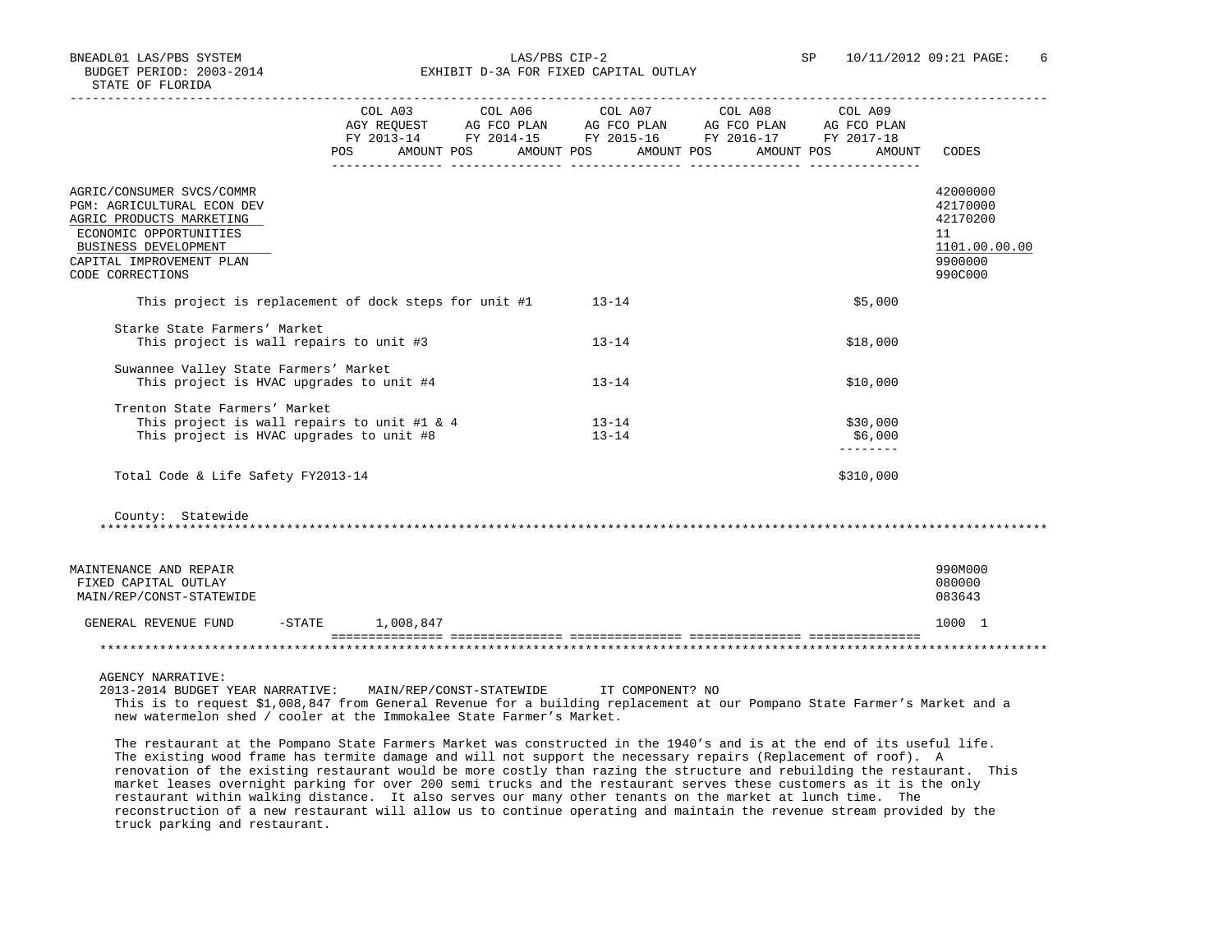BNEADL01 LAS/PBS SYSTEM LAS/PBS CIP-2 SP 10/11/2012 09:21 PAGE: 6 BUDGET PERIOD: 2003-2014 **EXHIBIT D-3A FOR FIXED CAPITAL OUTLAY** 

|                                                                                                                                                                                       |                       | COL A03 COL A06 COL A07 COL A08 COL A09<br>POS AMOUNT POS AMOUNT POS AMOUNT POS AMOUNT POS | AMOUNT                                   | CODES                                                                         |
|---------------------------------------------------------------------------------------------------------------------------------------------------------------------------------------|-----------------------|--------------------------------------------------------------------------------------------|------------------------------------------|-------------------------------------------------------------------------------|
| AGRIC/CONSUMER SVCS/COMMR<br>PGM: AGRICULTURAL ECON DEV<br>AGRIC PRODUCTS MARKETING<br>ECONOMIC OPPORTUNITIES<br>BUSINESS DEVELOPMENT<br>CAPITAL IMPROVEMENT PLAN<br>CODE CORRECTIONS |                       |                                                                                            |                                          | 42000000<br>42170000<br>42170200<br>11<br>1101.00.00.00<br>9900000<br>990C000 |
| This project is replacement of dock steps for unit #1                                                                                                                                 |                       | $13 - 14$                                                                                  | \$5,000                                  |                                                                               |
| Starke State Farmers' Market<br>This project is wall repairs to unit #3                                                                                                               |                       | $13 - 14$                                                                                  | \$18,000                                 |                                                                               |
| Suwannee Valley State Farmers' Market<br>This project is HVAC upgrades to unit #4                                                                                                     |                       | $13 - 14$                                                                                  | \$10,000                                 |                                                                               |
| Trenton State Farmers' Market<br>This project is wall repairs to unit #1 & 4<br>This project is HVAC upgrades to unit #8                                                              |                       | $13 - 14$<br>$13 - 14$                                                                     | \$30,000<br>\$6,000<br>$- - - - - - - -$ |                                                                               |
| Total Code & Life Safety FY2013-14                                                                                                                                                    |                       |                                                                                            | \$310,000                                |                                                                               |
| County: Statewide                                                                                                                                                                     |                       |                                                                                            |                                          |                                                                               |
| MAINTENANCE AND REPAIR<br>FIXED CAPITAL OUTLAY<br>MAIN/REP/CONST-STATEWIDE                                                                                                            |                       |                                                                                            |                                          | 990M000<br>080000<br>083643                                                   |
| GENERAL REVENUE FUND                                                                                                                                                                  | $-$ STATE $1,008,847$ |                                                                                            |                                          | 1000 1                                                                        |
|                                                                                                                                                                                       |                       |                                                                                            |                                          |                                                                               |
|                                                                                                                                                                                       |                       |                                                                                            |                                          |                                                                               |
| AGENCY NARRATIVE:<br>2013-2014 BUDGET YEAR NARRATIVE: MAIN/REP/CONST-STATEWIDE                                                                                                        |                       | IT COMPONENT? NO                                                                           |                                          |                                                                               |

 This is to request \$1,008,847 from General Revenue for a building replacement at our Pompano State Farmer's Market and a new watermelon shed / cooler at the Immokalee State Farmer's Market.

 The restaurant at the Pompano State Farmers Market was constructed in the 1940's and is at the end of its useful life. The existing wood frame has termite damage and will not support the necessary repairs (Replacement of roof). A renovation of the existing restaurant would be more costly than razing the structure and rebuilding the restaurant. This market leases overnight parking for over 200 semi trucks and the restaurant serves these customers as it is the only restaurant within walking distance. It also serves our many other tenants on the market at lunch time. The reconstruction of a new restaurant will allow us to continue operating and maintain the revenue stream provided by the truck parking and restaurant.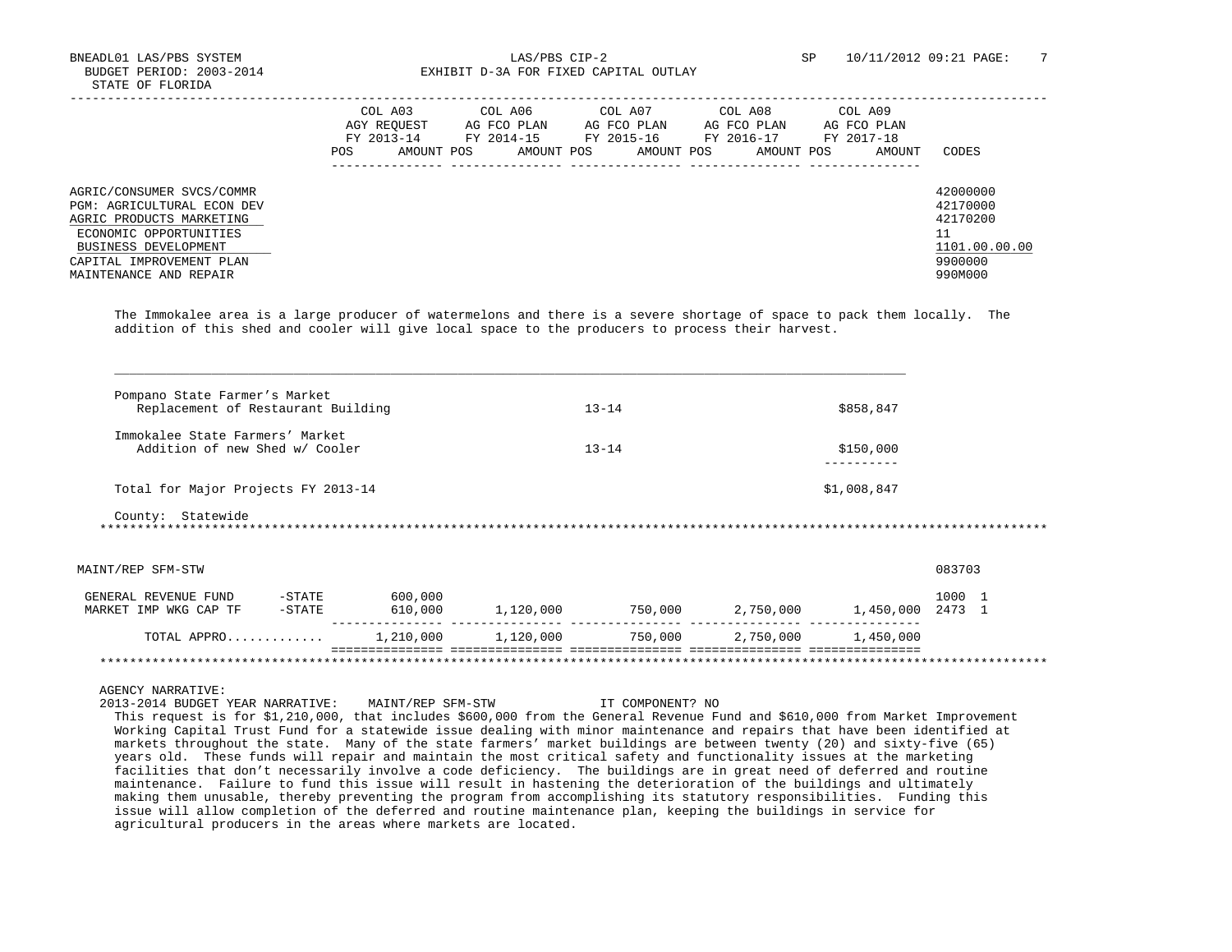BNEADL01 LAS/PBS SYSTEM  $\rm{LAS/PBS}$  CIP-2 SP 10/11/2012 09:21 PAGE: 7<br>BUDGET PERIOD: 2003-2014 SP EXHIBIT D-3A FOR FIXED CAPITAL OUTLAY EXHIBIT D-3A FOR FIXED CAPITAL OUTLAY

|                                                                                                                                                                                                    | POS. | COL A03<br>AGY REOUEST<br>FY 2013-14<br>AMOUNT POS | COL A06<br>AG FCO PLAN<br>FY 2014-15<br>AMOUNT POS | COL A07<br>AG FCO PLAN<br>FY 2015-16<br>AMOUNT POS | COL A08<br>AG FCO PLAN<br>FY 2016-17<br>AMOUNT POS | COL A09<br>AG FCO PLAN<br>FY 2017-18<br>AMOUNT | CODES                                                                   |
|----------------------------------------------------------------------------------------------------------------------------------------------------------------------------------------------------|------|----------------------------------------------------|----------------------------------------------------|----------------------------------------------------|----------------------------------------------------|------------------------------------------------|-------------------------------------------------------------------------|
| AGRIC/CONSUMER SVCS/COMMR<br><b>PGM: AGRICULTURAL ECON DEV</b><br>AGRIC PRODUCTS MARKETING<br>ECONOMIC OPPORTUNITIES<br>BUSINESS DEVELOPMENT<br>CAPITAL IMPROVEMENT PLAN<br>MAINTENANCE AND REPAIR |      |                                                    |                                                    |                                                    |                                                    |                                                | 42000000<br>42170000<br>42170200<br>1101.00.00.00<br>9900000<br>990M000 |

 The Immokalee area is a large producer of watermelons and there is a severe shortage of space to pack them locally. The addition of this shed and cooler will give local space to the producers to process their harvest.

| Replacement of Restaurant Building                             | Pompano State Farmer's Market |         |                        | $13 - 14$ |  | \$858,847   |        |  |  |
|----------------------------------------------------------------|-------------------------------|---------|------------------------|-----------|--|-------------|--------|--|--|
| Immokalee State Farmers' Market                                |                               |         |                        |           |  |             |        |  |  |
| Addition of new Shed w/ Cooler                                 |                               |         | $13 - 14$<br>\$150,000 |           |  |             |        |  |  |
| Total for Major Projects FY 2013-14                            |                               |         |                        |           |  | \$1,008,847 |        |  |  |
|                                                                |                               |         |                        |           |  |             |        |  |  |
|                                                                |                               |         |                        |           |  |             |        |  |  |
|                                                                |                               |         |                        |           |  |             | 083703 |  |  |
| County: Statewide<br>MAINT/REP SFM-STW<br>GENERAL REVENUE FUND | $-$ STATE                     | 600,000 |                        |           |  |             | 1000 1 |  |  |
| MARKET IMP WKG CAP TF                                          | -STATE                        | 610,000 | 1,120,000              |           |  |             |        |  |  |

AGENCY NARRATIVE:

 2013-2014 BUDGET YEAR NARRATIVE: MAINT/REP SFM-STW IT COMPONENT? NO This request is for \$1,210,000, that includes \$600,000 from the General Revenue Fund and \$610,000 from Market Improvement Working Capital Trust Fund for a statewide issue dealing with minor maintenance and repairs that have been identified at markets throughout the state. Many of the state farmers' market buildings are between twenty (20) and sixty-five (65) years old. These funds will repair and maintain the most critical safety and functionality issues at the marketing facilities that don't necessarily involve a code deficiency. The buildings are in great need of deferred and routine maintenance. Failure to fund this issue will result in hastening the deterioration of the buildings and ultimately making them unusable, thereby preventing the program from accomplishing its statutory responsibilities. Funding this issue will allow completion of the deferred and routine maintenance plan, keeping the buildings in service for agricultural producers in the areas where markets are located.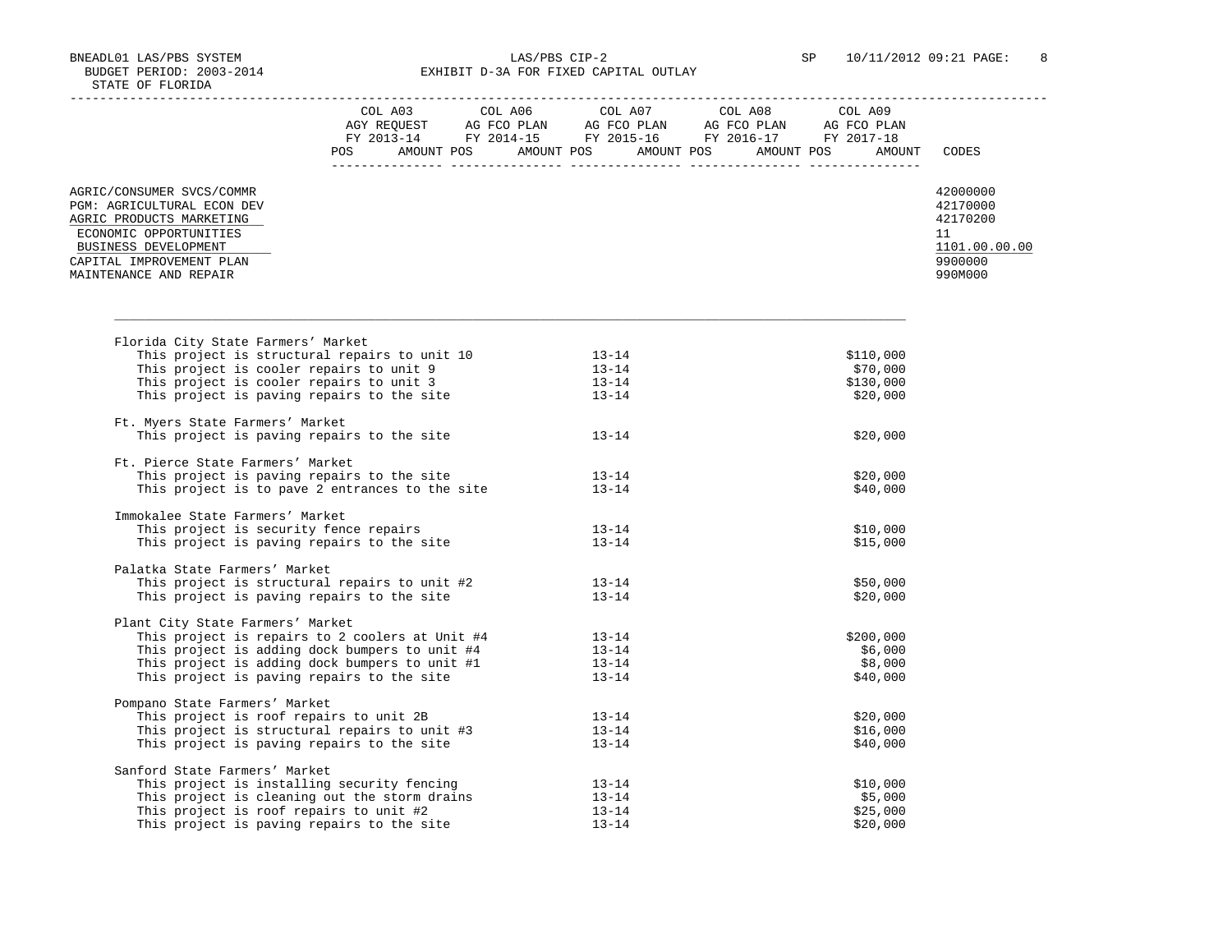BNEADL01 LAS/PBS SYSTEM LAS/PBS CIP-2 SP 10/11/2012 09:21 PAGE: 8 BUDGET PERIOD: 2003-2014 **EXHIBIT D-3A FOR FIXED CAPITAL OUTLAY** 

|                                                                                                                                                                                                                           |  |                        | $\begin{tabular}{lcccc} CDL A03 & CDL A06 & CDL A07 & CDL A08 & CDL A09 \\ AGY REQUEST & AG FCO PLAN & AG FCO PLAN & AG FCO PLAN & AG FCO PLAN \\ FY 2013-14 & FY 2014-15 & FY 2015-16 & FY 2016-17 & FY 2017-18 \\ \end{tabular}$ |               |
|---------------------------------------------------------------------------------------------------------------------------------------------------------------------------------------------------------------------------|--|------------------------|------------------------------------------------------------------------------------------------------------------------------------------------------------------------------------------------------------------------------------|---------------|
|                                                                                                                                                                                                                           |  |                        | POS AMOUNT POS AMOUNT POS AMOUNT POS AMOUNT POS AMOUNT CODES                                                                                                                                                                       |               |
| AGRIC/CONSUMER SVCS/COMMR                                                                                                                                                                                                 |  |                        |                                                                                                                                                                                                                                    | 42000000      |
| PGM: AGRICULTURAL ECON DEV                                                                                                                                                                                                |  |                        |                                                                                                                                                                                                                                    | 42170000      |
| AGRIC PRODUCTS MARKETING                                                                                                                                                                                                  |  |                        |                                                                                                                                                                                                                                    | 42170200      |
| ECONOMIC OPPORTUNITIES                                                                                                                                                                                                    |  |                        |                                                                                                                                                                                                                                    | 11            |
| BUSINESS DEVELOPMENT                                                                                                                                                                                                      |  |                        |                                                                                                                                                                                                                                    | 1101.00.00.00 |
| CAPITAL IMPROVEMENT PLAN                                                                                                                                                                                                  |  |                        |                                                                                                                                                                                                                                    | 9900000       |
| MAINTENANCE AND REPAIR                                                                                                                                                                                                    |  |                        |                                                                                                                                                                                                                                    | 990M000       |
|                                                                                                                                                                                                                           |  |                        |                                                                                                                                                                                                                                    |               |
| Florida City State Farmers' Market                                                                                                                                                                                        |  |                        |                                                                                                                                                                                                                                    |               |
| This project is structural repairs to unit 10 13-14<br>This project is cooler repairs to unit 9 13-14<br>This project is cooler repairs to unit 3 13-14<br>This project is paving repairs to the site 13-14               |  |                        | \$110,000                                                                                                                                                                                                                          |               |
|                                                                                                                                                                                                                           |  |                        | \$70,000                                                                                                                                                                                                                           |               |
|                                                                                                                                                                                                                           |  |                        | \$130,000                                                                                                                                                                                                                          |               |
|                                                                                                                                                                                                                           |  |                        | \$20,000                                                                                                                                                                                                                           |               |
| Ft. Myers State Farmers' Market                                                                                                                                                                                           |  |                        |                                                                                                                                                                                                                                    |               |
| This project is paving repairs to the site                                                                                                                                                                                |  | $13 - 14$              | \$20,000                                                                                                                                                                                                                           |               |
|                                                                                                                                                                                                                           |  |                        |                                                                                                                                                                                                                                    |               |
| Ft. Pierce State Farmers' Market                                                                                                                                                                                          |  |                        |                                                                                                                                                                                                                                    |               |
| This project is paving repairs to the site                                                                                                                                                                                |  | $13 - 14$              | \$20,000                                                                                                                                                                                                                           |               |
| This project is to pave 2 entrances to the site                                                                                                                                                                           |  | $13 - 14$              | \$40,000                                                                                                                                                                                                                           |               |
| Immokalee State Farmers' Market                                                                                                                                                                                           |  |                        |                                                                                                                                                                                                                                    |               |
|                                                                                                                                                                                                                           |  |                        | \$10,000                                                                                                                                                                                                                           |               |
| This project is security fence repairs<br>This project is paving repairs to the site<br>13-14                                                                                                                             |  |                        | \$15,000                                                                                                                                                                                                                           |               |
|                                                                                                                                                                                                                           |  |                        |                                                                                                                                                                                                                                    |               |
| Palatka State Farmers' Market                                                                                                                                                                                             |  |                        |                                                                                                                                                                                                                                    |               |
|                                                                                                                                                                                                                           |  |                        | \$50,000                                                                                                                                                                                                                           |               |
| This project is structural repairs to unit #2 13-14<br>This project is paving repairs to the site 13-14                                                                                                                   |  |                        | \$20,000                                                                                                                                                                                                                           |               |
| Plant City State Farmers' Market                                                                                                                                                                                          |  |                        |                                                                                                                                                                                                                                    |               |
|                                                                                                                                                                                                                           |  |                        | \$200,000                                                                                                                                                                                                                          |               |
|                                                                                                                                                                                                                           |  |                        | \$6,000                                                                                                                                                                                                                            |               |
|                                                                                                                                                                                                                           |  |                        | \$8,000                                                                                                                                                                                                                            |               |
| This project is repairs to 2 coolers at Unit #4 13-14<br>This project is adding dock bumpers to unit #4 13-14<br>This project is adding dock bumpers to unit #1 13-14<br>This project is paving repairs to the site 13-14 |  |                        | \$40,000                                                                                                                                                                                                                           |               |
| Pompano State Farmers' Market                                                                                                                                                                                             |  |                        |                                                                                                                                                                                                                                    |               |
| Finis project is roof repairs to unit 2B<br>This project is structural repairs to unit #3<br>This project is paving repairs to the site 13-14                                                                             |  |                        | \$20,000                                                                                                                                                                                                                           |               |
|                                                                                                                                                                                                                           |  |                        | \$16,000                                                                                                                                                                                                                           |               |
|                                                                                                                                                                                                                           |  |                        | \$40,000                                                                                                                                                                                                                           |               |
| Sanford State Farmers' Market                                                                                                                                                                                             |  |                        |                                                                                                                                                                                                                                    |               |
| This project is installing security fencing                                                                                                                                                                               |  |                        | \$10,000                                                                                                                                                                                                                           |               |
| This project is cleaning out the storm drains                                                                                                                                                                             |  | $13 - 14$<br>$13 - 14$ | \$5,000                                                                                                                                                                                                                            |               |
| This project is roof repairs to unit #2                                                                                                                                                                                   |  | $13 - 14$              | \$25,000                                                                                                                                                                                                                           |               |
| This project is paving repairs to the site                                                                                                                                                                                |  | $13 - 14$              | \$20,000                                                                                                                                                                                                                           |               |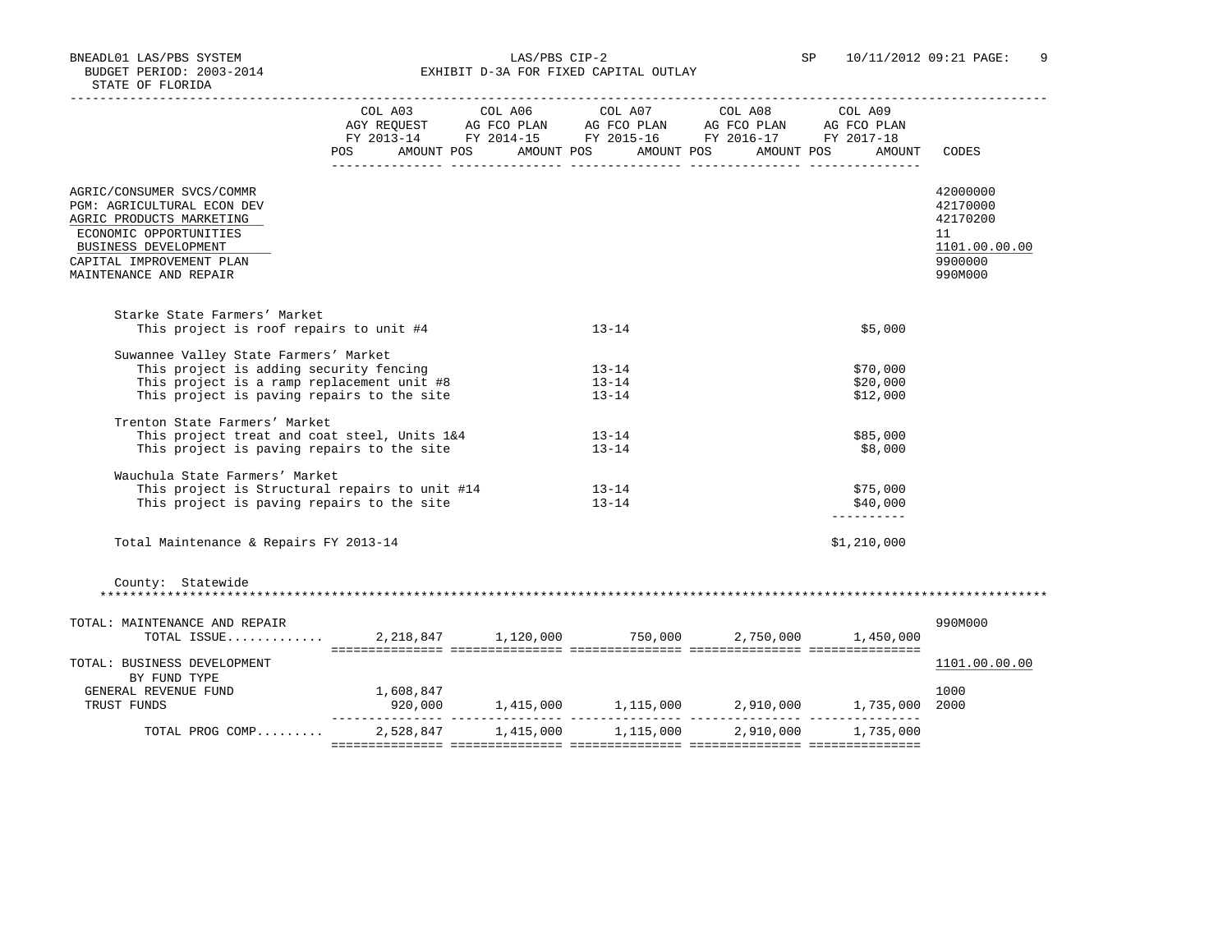BNEADL01 LAS/PBS SYSTEM LAS/PBS CIP-2 SP 10/11/2012 09:21 PAGE: 9 BUDGET PERIOD: 2003-2014 **EXHIBIT D-3A FOR FIXED CAPITAL OUTLAY** 

|                                                                                                                                                                                             |                                                 |                                     | $\begin{tabular}{lcccc} COL A03 & COL A06 & COL A07 & COL A08 & COL A09 \\ AGY REQUEST & AG FCO PLAN & AG FCO PLAN & AG FCO PLAN & AG FCO PLAN \\ FY & 2013-14 & FY & 2014-15 & FY & 2015-16 & FY & 2016-17 & FY & 2017-18 \\ \end{tabular}$ |                                     |                                                                               |
|---------------------------------------------------------------------------------------------------------------------------------------------------------------------------------------------|-------------------------------------------------|-------------------------------------|----------------------------------------------------------------------------------------------------------------------------------------------------------------------------------------------------------------------------------------------|-------------------------------------|-------------------------------------------------------------------------------|
|                                                                                                                                                                                             | POS AMOUNT POS AMOUNT POS AMOUNT POS AMOUNT POS |                                     |                                                                                                                                                                                                                                              | AMOUNT                              | CODES                                                                         |
| AGRIC/CONSUMER SVCS/COMMR<br>PGM: AGRICULTURAL ECON DEV<br>AGRIC PRODUCTS MARKETING<br>ECONOMIC OPPORTUNITIES<br>BUSINESS DEVELOPMENT<br>CAPITAL IMPROVEMENT PLAN<br>MAINTENANCE AND REPAIR |                                                 |                                     |                                                                                                                                                                                                                                              |                                     | 42000000<br>42170000<br>42170200<br>11<br>1101.00.00.00<br>9900000<br>990M000 |
| Starke State Farmers' Market<br>This project is roof repairs to unit #4                                                                                                                     |                                                 | $13 - 14$                           |                                                                                                                                                                                                                                              | \$5,000                             |                                                                               |
| Suwannee Valley State Farmers' Market<br>This project is adding security fencing<br>This project is a ramp replacement unit #8<br>This project is paving repairs to the site                |                                                 | $13 - 14$<br>$13 - 14$<br>$13 - 14$ |                                                                                                                                                                                                                                              | \$70,000<br>\$20,000<br>\$12,000    |                                                                               |
| Trenton State Farmers' Market<br>This project treat and coat steel, Units 1&4<br>This project is paving repairs to the site                                                                 |                                                 | $13 - 14$<br>$13 - 14$              |                                                                                                                                                                                                                                              | \$85,000<br>\$8,000                 |                                                                               |
| Wauchula State Farmers' Market<br>This project is Structural repairs to unit #14<br>This project is paving repairs to the site                                                              |                                                 | 13-14<br>$13 - 14$                  |                                                                                                                                                                                                                                              | \$75,000<br>\$40,000<br>----------- |                                                                               |
| Total Maintenance & Repairs FY 2013-14                                                                                                                                                      |                                                 |                                     |                                                                                                                                                                                                                                              | \$1,210,000                         |                                                                               |
| County: Statewide                                                                                                                                                                           |                                                 |                                     |                                                                                                                                                                                                                                              |                                     |                                                                               |
| TOTAL: MAINTENANCE AND REPAIR<br>TOTAL ISSUE 2,218,847 1,120,000 750,000 2,750,000 1,450,000                                                                                                |                                                 |                                     |                                                                                                                                                                                                                                              |                                     | 990M000                                                                       |
| TOTAL: BUSINESS DEVELOPMENT                                                                                                                                                                 |                                                 |                                     |                                                                                                                                                                                                                                              |                                     | 1101.00.00.00                                                                 |
| BY FUND TYPE<br>GENERAL REVENUE FUND<br>TRUST FUNDS                                                                                                                                         | 1,608,847                                       |                                     |                                                                                                                                                                                                                                              |                                     | 1000                                                                          |
| TOTAL PROG COMP 2,528,847 1,415,000 1,115,000 2,910,000 1,735,000                                                                                                                           |                                                 |                                     |                                                                                                                                                                                                                                              |                                     |                                                                               |
|                                                                                                                                                                                             |                                                 |                                     |                                                                                                                                                                                                                                              |                                     |                                                                               |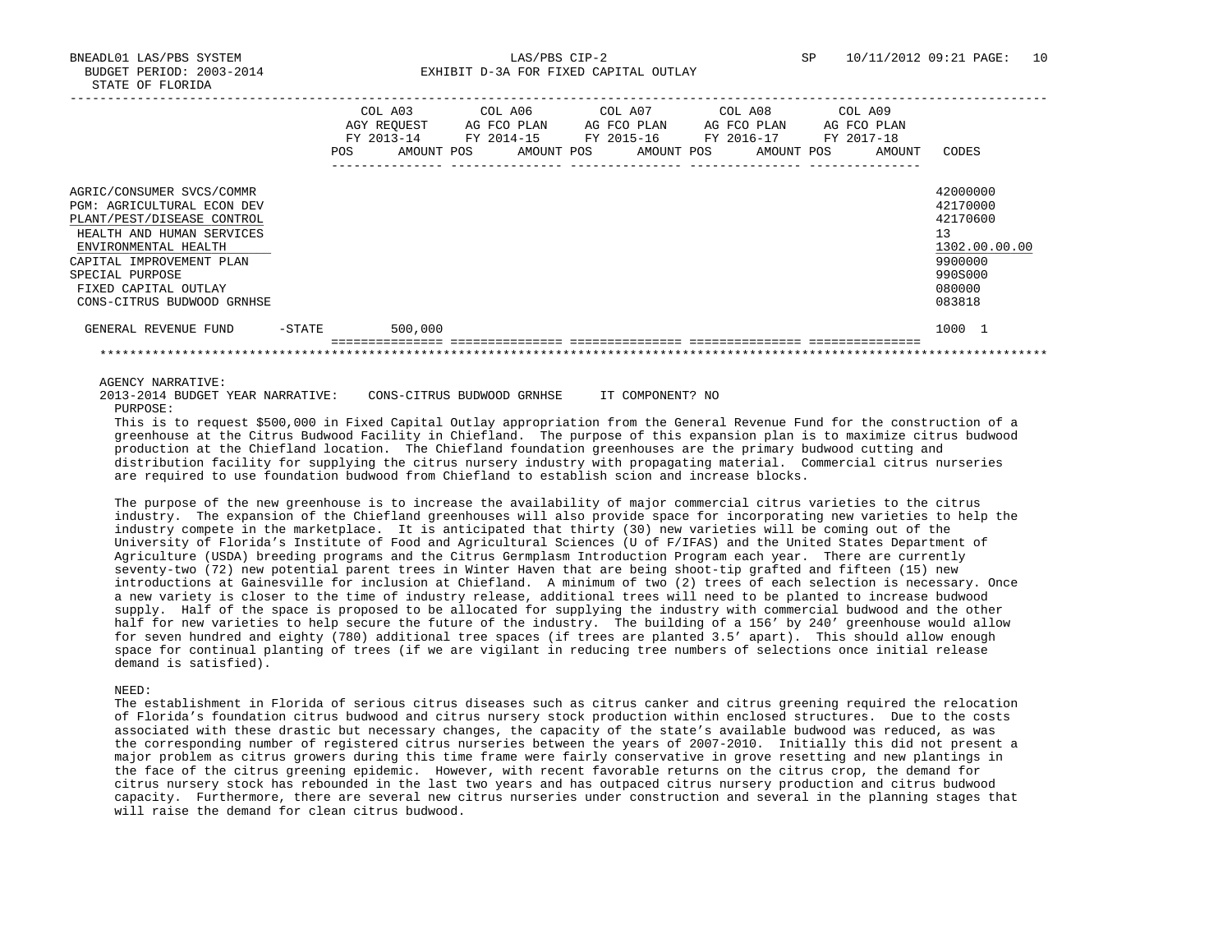BUDGET PERIOD: 2003-2014 **EXHIBIT D-3A FOR FIXED CAPITAL OUTLAY** 

|                                                                                                                                                                                                                                                        |           | <b>POS</b> | COL A03<br>AGY REOUEST<br>FY 2013-14<br>AMOUNT POS | COL A06<br>AG FCO PLAN<br>FY 2014-15<br>AMOUNT POS | COL A07 | AG FCO PLAN<br>FY 2015-16<br>AMOUNT POS |  | COL A08<br>AG FCO PLAN<br>FY 2016-17<br>AMOUNT POS | COL A09<br>FY 2017-18 | AG FCO PLAN<br>AMOUNT | CODES                                                                                             |
|--------------------------------------------------------------------------------------------------------------------------------------------------------------------------------------------------------------------------------------------------------|-----------|------------|----------------------------------------------------|----------------------------------------------------|---------|-----------------------------------------|--|----------------------------------------------------|-----------------------|-----------------------|---------------------------------------------------------------------------------------------------|
| AGRIC/CONSUMER SVCS/COMMR<br><b>PGM: AGRICULTURAL ECON DEV</b><br>PLANT/PEST/DISEASE CONTROL<br>HEALTH AND HUMAN SERVICES<br>ENVIRONMENTAL HEALTH<br>CAPITAL IMPROVEMENT PLAN<br>SPECIAL PURPOSE<br>FIXED CAPITAL OUTLAY<br>CONS-CITRUS BUDWOOD GRNHSE |           |            |                                                    |                                                    |         |                                         |  |                                                    |                       |                       | 42000000<br>42170000<br>42170600<br>13<br>1302.00.00.00<br>9900000<br>990S000<br>080000<br>083818 |
| GENERAL REVENUE FUND                                                                                                                                                                                                                                   | $-$ STATE |            | 500,000                                            |                                                    |         |                                         |  |                                                    |                       |                       | 1000 1                                                                                            |
|                                                                                                                                                                                                                                                        |           |            |                                                    |                                                    |         |                                         |  |                                                    |                       |                       |                                                                                                   |

AGENCY NARRATIVE:

 2013-2014 BUDGET YEAR NARRATIVE: CONS-CITRUS BUDWOOD GRNHSE IT COMPONENT? NO PURPOSE:

 This is to request \$500,000 in Fixed Capital Outlay appropriation from the General Revenue Fund for the construction of a greenhouse at the Citrus Budwood Facility in Chiefland. The purpose of this expansion plan is to maximize citrus budwood production at the Chiefland location. The Chiefland foundation greenhouses are the primary budwood cutting and distribution facility for supplying the citrus nursery industry with propagating material. Commercial citrus nurseries are required to use foundation budwood from Chiefland to establish scion and increase blocks.

 The purpose of the new greenhouse is to increase the availability of major commercial citrus varieties to the citrus industry. The expansion of the Chiefland greenhouses will also provide space for incorporating new varieties to help the industry compete in the marketplace. It is anticipated that thirty (30) new varieties will be coming out of the University of Florida's Institute of Food and Agricultural Sciences (U of F/IFAS) and the United States Department of Agriculture (USDA) breeding programs and the Citrus Germplasm Introduction Program each year. There are currently seventy-two (72) new potential parent trees in Winter Haven that are being shoot-tip grafted and fifteen (15) new introductions at Gainesville for inclusion at Chiefland. A minimum of two (2) trees of each selection is necessary. Once a new variety is closer to the time of industry release, additional trees will need to be planted to increase budwood supply. Half of the space is proposed to be allocated for supplying the industry with commercial budwood and the other half for new varieties to help secure the future of the industry. The building of a 156' by 240' greenhouse would allow for seven hundred and eighty (780) additional tree spaces (if trees are planted 3.5' apart). This should allow enough space for continual planting of trees (if we are vigilant in reducing tree numbers of selections once initial release demand is satisfied).

NEED:

 The establishment in Florida of serious citrus diseases such as citrus canker and citrus greening required the relocation of Florida's foundation citrus budwood and citrus nursery stock production within enclosed structures. Due to the costs associated with these drastic but necessary changes, the capacity of the state's available budwood was reduced, as was the corresponding number of registered citrus nurseries between the years of 2007-2010. Initially this did not present a major problem as citrus growers during this time frame were fairly conservative in grove resetting and new plantings in the face of the citrus greening epidemic. However, with recent favorable returns on the citrus crop, the demand for citrus nursery stock has rebounded in the last two years and has outpaced citrus nursery production and citrus budwood capacity. Furthermore, there are several new citrus nurseries under construction and several in the planning stages that will raise the demand for clean citrus budwood.